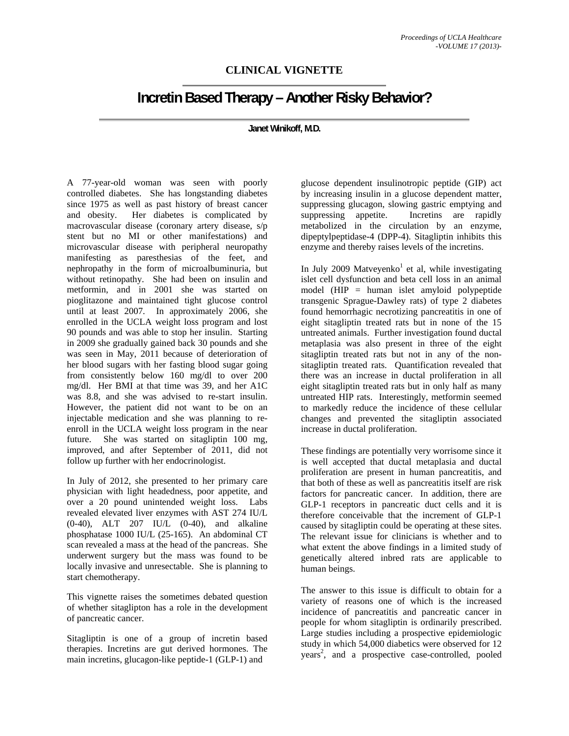## **CLINICAL VIGNETTE**

## **Incretin Based Therapy – Another Risky Behavior?**

## **Janet Winikoff, M.D.**

A 77-year-old woman was seen with poorly controlled diabetes. She has longstanding diabetes since 1975 as well as past history of breast cancer and obesity. Her diabetes is complicated by macrovascular disease (coronary artery disease, s/p stent but no MI or other manifestations) and microvascular disease with peripheral neuropathy manifesting as paresthesias of the feet, and nephropathy in the form of microalbuminuria, but without retinopathy. She had been on insulin and metformin, and in 2001 she was started on pioglitazone and maintained tight glucose control until at least 2007. In approximately 2006, she enrolled in the UCLA weight loss program and lost 90 pounds and was able to stop her insulin. Starting in 2009 she gradually gained back 30 pounds and she was seen in May, 2011 because of deterioration of her blood sugars with her fasting blood sugar going from consistently below 160 mg/dl to over 200 mg/dl. Her BMI at that time was 39, and her A1C was 8.8, and she was advised to re-start insulin. However, the patient did not want to be on an injectable medication and she was planning to reenroll in the UCLA weight loss program in the near future. She was started on sitagliptin 100 mg, improved, and after September of 2011, did not follow up further with her endocrinologist.

In July of 2012, she presented to her primary care physician with light headedness, poor appetite, and over a 20 pound unintended weight loss. Labs revealed elevated liver enzymes with AST 274 IU/L (0-40), ALT 207 IU/L (0-40), and alkaline phosphatase 1000 IU/L (25-165). An abdominal CT scan revealed a mass at the head of the pancreas. She underwent surgery but the mass was found to be locally invasive and unresectable. She is planning to start chemotherapy.

This vignette raises the sometimes debated question of whether sitaglipton has a role in the development of pancreatic cancer.

Sitagliptin is one of a group of incretin based therapies. Incretins are gut derived hormones. The main incretins, glucagon-like peptide-1 (GLP-1) and

glucose dependent insulinotropic peptide (GIP) act by increasing insulin in a glucose dependent matter, suppressing glucagon, slowing gastric emptying and suppressing appetite. Incretins are rapidly metabolized in the circulation by an enzyme, dipeptylpeptidase-4 (DPP-4). Sitagliptin inhibits this enzyme and thereby raises levels of the incretins.

In July 2009 Matveyenko<sup>1</sup> et al, while investigating islet cell dysfunction and beta cell loss in an animal model (HIP = human islet amyloid polypeptide transgenic Sprague-Dawley rats) of type 2 diabetes found hemorrhagic necrotizing pancreatitis in one of eight sitagliptin treated rats but in none of the 15 untreated animals. Further investigation found ductal metaplasia was also present in three of the eight sitagliptin treated rats but not in any of the nonsitagliptin treated rats. Quantification revealed that there was an increase in ductal proliferation in all eight sitagliptin treated rats but in only half as many untreated HIP rats. Interestingly, metformin seemed to markedly reduce the incidence of these cellular changes and prevented the sitagliptin associated increase in ductal proliferation.

These findings are potentially very worrisome since it is well accepted that ductal metaplasia and ductal proliferation are present in human pancreatitis, and that both of these as well as pancreatitis itself are risk factors for pancreatic cancer. In addition, there are GLP-1 receptors in pancreatic duct cells and it is therefore conceivable that the increment of GLP-1 caused by sitagliptin could be operating at these sites. The relevant issue for clinicians is whether and to what extent the above findings in a limited study of genetically altered inbred rats are applicable to human beings.

The answer to this issue is difficult to obtain for a variety of reasons one of which is the increased incidence of pancreatitis and pancreatic cancer in people for whom sitagliptin is ordinarily prescribed. Large studies including a prospective epidemiologic study in which 54,000 diabetics were observed for 12 years<sup>2</sup>, and a prospective case-controlled, pooled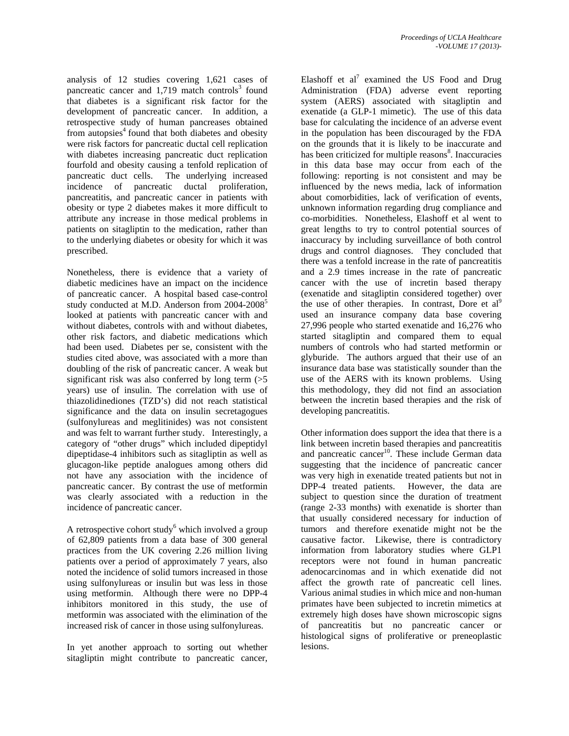analysis of 12 studies covering 1,621 cases of pancreatic cancer and  $1,719$  match controls<sup>3</sup> found that diabetes is a significant risk factor for the development of pancreatic cancer. In addition, a retrospective study of human pancreases obtained from autopsies $4$  found that both diabetes and obesity were risk factors for pancreatic ductal cell replication with diabetes increasing pancreatic duct replication fourfold and obesity causing a tenfold replication of pancreatic duct cells. The underlying increased incidence of pancreatic ductal proliferation, pancreatitis, and pancreatic cancer in patients with obesity or type 2 diabetes makes it more difficult to attribute any increase in those medical problems in patients on sitagliptin to the medication, rather than to the underlying diabetes or obesity for which it was prescribed.

Nonetheless, there is evidence that a variety of diabetic medicines have an impact on the incidence of pancreatic cancer. A hospital based case-control study conducted at M.D. Anderson from 2004-2008<sup>5</sup> looked at patients with pancreatic cancer with and without diabetes, controls with and without diabetes, other risk factors, and diabetic medications which had been used. Diabetes per se, consistent with the studies cited above, was associated with a more than doubling of the risk of pancreatic cancer. A weak but significant risk was also conferred by long term  $(55$ years) use of insulin. The correlation with use of thiazolidinediones (TZD's) did not reach statistical significance and the data on insulin secretagogues (sulfonylureas and meglitinides) was not consistent and was felt to warrant further study. Interestingly, a category of "other drugs" which included dipeptidyl dipeptidase-4 inhibitors such as sitagliptin as well as glucagon-like peptide analogues among others did not have any association with the incidence of pancreatic cancer. By contrast the use of metformin was clearly associated with a reduction in the incidence of pancreatic cancer.

A retrospective cohort study $6$  which involved a group of 62,809 patients from a data base of 300 general practices from the UK covering 2.26 million living patients over a period of approximately 7 years, also noted the incidence of solid tumors increased in those using sulfonylureas or insulin but was less in those using metformin. Although there were no DPP-4 inhibitors monitored in this study, the use of metformin was associated with the elimination of the increased risk of cancer in those using sulfonylureas.

In yet another approach to sorting out whether sitagliptin might contribute to pancreatic cancer,

Elashoff et al<sup>7</sup> examined the US Food and Drug Administration (FDA) adverse event reporting system (AERS) associated with sitagliptin and exenatide (a GLP-1 mimetic). The use of this data base for calculating the incidence of an adverse event in the population has been discouraged by the FDA on the grounds that it is likely to be inaccurate and has been criticized for multiple reasons<sup>8</sup>. Inaccuracies in this data base may occur from each of the following: reporting is not consistent and may be influenced by the news media, lack of information about comorbidities, lack of verification of events, unknown information regarding drug compliance and co-morbidities. Nonetheless, Elashoff et al went to great lengths to try to control potential sources of inaccuracy by including surveillance of both control drugs and control diagnoses. They concluded that there was a tenfold increase in the rate of pancreatitis and a 2.9 times increase in the rate of pancreatic cancer with the use of incretin based therapy (exenatide and sitagliptin considered together) over the use of other therapies. In contrast, Dore et  $al^9$ used an insurance company data base covering 27,996 people who started exenatide and 16,276 who started sitagliptin and compared them to equal numbers of controls who had started metformin or glyburide. The authors argued that their use of an insurance data base was statistically sounder than the use of the AERS with its known problems. Using this methodology, they did not find an association between the incretin based therapies and the risk of developing pancreatitis.

Other information does support the idea that there is a link between incretin based therapies and pancreatitis and pancreatic cancer<sup>10</sup>. These include German data suggesting that the incidence of pancreatic cancer was very high in exenatide treated patients but not in DPP-4 treated patients. However, the data are subject to question since the duration of treatment (range 2-33 months) with exenatide is shorter than that usually considered necessary for induction of tumors and therefore exenatide might not be the causative factor. Likewise, there is contradictory information from laboratory studies where GLP1 receptors were not found in human pancreatic adenocarcinomas and in which exenatide did not affect the growth rate of pancreatic cell lines. Various animal studies in which mice and non-human primates have been subjected to incretin mimetics at extremely high doses have shown microscopic signs of pancreatitis but no pancreatic cancer or histological signs of proliferative or preneoplastic lesions.